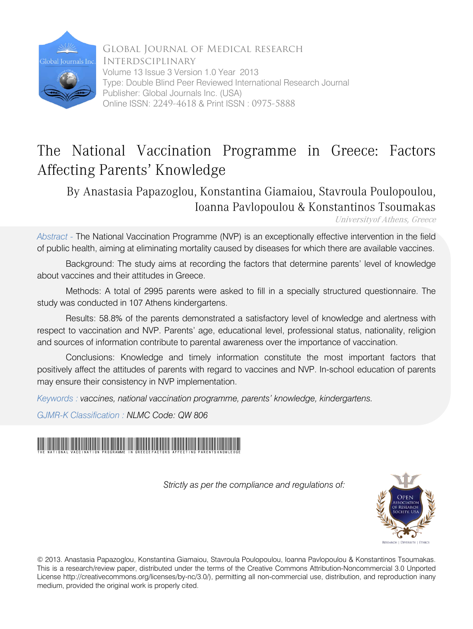

Global Journal of Medical research Interdsciplinary Volume 13 Issue 3 Version 1.0 Year 2013 Type: Double Blind Peer Reviewed International Research Journal Publisher: Global Journals Inc. (USA) Online ISSN: 2249-4618 & Print ISSN : 0975-5888

## The National Vaccination Programme in Greece: Factors Affecting Parents' Knowledge

By Anastasia Papazoglou, Konstantina Giamaiou, Stavroula Poulopoulou, Ioanna Pavlopoulou & Konstantinos Tsoumakas

Universityof Athens, Greece

*Abstract -* The National Vaccination Programme (NVP) is an exceptionally effective intervention in the field of public health, aiming at eliminating mortality caused by diseases for which there are available vaccines.

Background: The study aims at recording the factors that determine parents' level of knowledge about vaccines and their attitudes in Greece.

Methods: A total of 2995 parents were asked to fill in a specially structured questionnaire. The study was conducted in 107 Athens kindergartens.

Results: 58.8% of the parents demonstrated a satisfactory level of knowledge and alertness with respect to vaccination and NVP. Parents' age, educational level, professional status, nationality, religion and sources of information contribute to parental awareness over the importance of vaccination.

Conclusions: Knowledge and timely information constitute the most important factors that positively affect the attitudes of parents with regard to vaccines and NVP. In-school education of parents may ensure their consistency in NVP implementation.

*Keywords : vaccines, national vaccination programme, parents' knowledge, kindergartens.*

*GJMR-K Classification : NLMC Code: QW 806*



*Strictly as per the compliance and regulations of:*



© 2013. Anastasia Papazoglou, Konstantina Giamaiou, Stavroula Poulopoulou, Ioanna Pavlopoulou & Konstantinos Tsoumakas. This is a research/review paper, distributed under the terms of the Creative Commons Attribution-Noncommercial 3.0 Unported License http://creativecommons.org/licenses/by-nc/3.0/), permitting all non-commercial use, distribution, and reproduction inany medium, provided the original work is properly cited.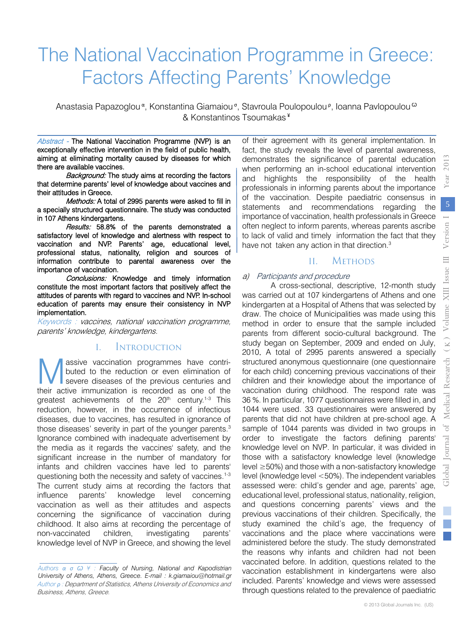# The National Vaccination Programme in Greece: Factors Affecting Parents' Knowledge

Anastasia Papazoglou«, Konstantina Giamaiou«, Stavroula Poulopoulou», Ioanna Pavlopoulou∞ & Konstantinos Tsoumakas ¥

Abstract - The National Vaccination Programme (NVP) is an exceptionally effective interven[tion in the field of pub](mailto:k.giamaiou@hotmail.gr)lic health, aiming at eliminating mortality caused by diseases for which there are available vaccines.

avallable vaccines.<br>Background: The study aims at recording the factors that determine parents' level of knowledge about vaccines and<br>thair attitudes in Craece their attitudes in Greece.

lues in cheece.<br>*Methods:* A total of 2995 parents were asked to fill in a specially structured questionnaire. The study was conducted<br>a specially structured questionnaire. The study was conducted in 107 Athens kindergartens.

ens kindergarens.<br>*Results:* 58.8% of the parents demonstrated a satisfactory level of knowledge and alertness with respect to professional status, nationality, religion and sources of ֧֦֧֘֕֜֡ importance of vaccination. information contribute to parental awareness over the<br>importance of receipation vaccination and NVP. Parents' age, educational level,

 education of parents may ensure their consistency in NVP Conclusions: Knowledge and timely information constitute the most important factors that positively affect the attitudes of parents with regard to vaccines and NVP. In-school implementation.

Keywords : vaccines, national vaccination programme, parents' knowledge, kindergartens.

#### $\mathbf{I}$ **INTRODUCTION**

assive vaccination programmes have contributed to the reduction or even elimination of severe diseases of the previous centuries and **their state of the increding incremental state of the reduction** or even elimination of severe diseases of the previous centuries and their active immunization is recorded as one of the greatest achievements of the  $20<sup>th</sup>$  century.<sup>1-3</sup> This reduction, however, in the occurrence of infectious diseases, due to vaccines, has resulted in ignorance of those diseases' severity in part of the younger parents.<sup>3</sup> Ignorance combined with inadequate advertisement by the media as it regards the vaccines' safety, and the significant increase in the number of mandatory for infants and children vaccines have led to parents' questioning both the necessity and safety of vaccines.<sup>1-3</sup> The current study aims at recording the factors that influence parents' knowledge level concerning vaccination as well as their attitudes and aspects concerning the significance of vaccination during childhood. It also aims at recording the percentage of non-vaccinated children, investigating parents' knowledge level of NVP in Greece, and showing the level

of their agreement with its general implementation. In fact, the study reveals the level of parental awareness, demonstrates the significance of parental education when performing an in-school educational intervention and highlights the responsibility of the health professionals in informing parents about the importance of the vaccination. Despite paediatric consensus in statements and recommendations regarding the importance of vaccination, health professionals in Greece often neglect to inform parents, whereas parents ascribe to lack of valid and timely information the fact that they have not taken any action in that direction.<sup>3</sup>

#### $\Pi$ . **METHODS**

### a) Participants and procedure

A cross-sectional, descriptive, 12-month study was carried out at 107 kindergartens of Athens and one kindergarten at a Hospital of Athens that was selected by draw. The choice of Municipalities was made using this method in order to ensure that the sample included parents from different socio-cultural background. The study began on September, 2009 and ended on July, 2010. A total of 2995 parents answered a specially structured anonymous questionnaire (one questionnaire for each child) concerning previous vaccinations of their children and their knowledge about the importance of vaccination during childhood. The respond rate was 36 %. In particular, 1077 questionnaires were filled in, and 1044 were used. 33 questionnaires were answered by parents that did not have children at pre-school age. A sample of 1044 parents was divided in two groups in order to investigate the factors defining parents' knowledge level on NVP. In particular, it was divided in those with a satisfactory knowledge level (knowledge level ≥50%) and those with a non-satisfactory knowledge level (knowledge level <50%). The independent variables assessed were: child's gender and age, parents' age, educational level, professional status, nationality, religion, and questions concerning parents' views and the previous vaccinations of their children. Specifically, the study examined the child's age, the frequency of vaccinations and the place where vaccinations were administered before the study. The study demonstrated the reasons why infants and children had not been vaccinated before. In addition, questions related to the vaccination establishment in kindergartens were also included. Parents' knowledge and views were assessed through questions related to the prevalence of paediatric

Author *ρ* : Department of Statistics, Athens University of Economics and Business, Athens, Greece. *Authors α σ Ѡ ¥ : Faculty of Nursing, National and Kapodistrian University of Athens, Athens, Greece. E-mail : k.giamaiou@hotmail.gr*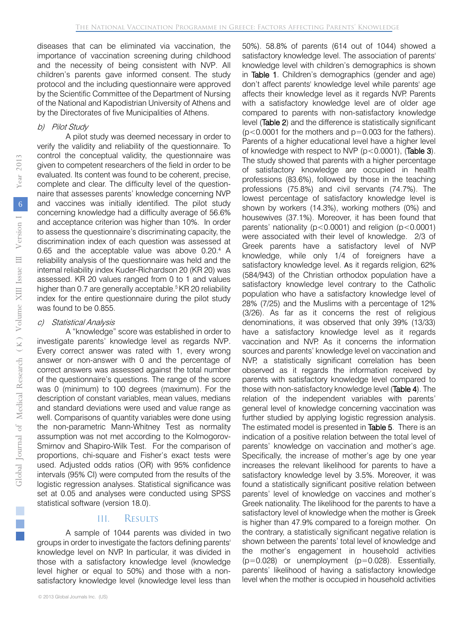diseases that can be eliminated via vaccination, the importance of vaccination screening during childhood and the necessity of being consistent with NVP. All children's parents gave informed consent. The study protocol and the including questionnaire were approved by the Scientific Committee of the Department of Nursing of the National and Kapodistrian University of Athens and by the Directorates of five Municipalities of Athens.

## b) Pilot Study

A pilot study was deemed necessary in order to verify the validity and reliability of the questionnaire. To control the conceptual validity, the questionnaire was given to competent researchers of the field in order to be evaluated. Its content was found to be coherent, precise, complete and clear. The difficulty level of the questionnaire that assesses parents' knowledge concerning NVP and vaccines was initially identified. The pilot study concerning knowledge had a difficulty average of 56.6% and acceptance criterion was higher than 10%. In order to assess the questionnaire's discriminating capacity, the discrimination index of each question was assessed at 0.65 and the acceptable value was above 0.20.<sup>4</sup> A reliability analysis of the questionnaire was held and the internal reliability index Kuder-Richardson 20 (KR 20) was assessed. KR 20 values ranged from 0 to 1 and values higher than 0.7 are generally acceptable.<sup>5</sup> KR 20 reliability index for the entire questionnaire during the pilot study was found to be 0.855.

## c) Statistical Analysis

A "knowledge" score was established in order to investigate parents' knowledge level as regards NVP. Every correct answer was rated with 1, every wrong answer or non-answer with 0 and the percentage of correct answers was assessed against the total number of the questionnaire's questions. The range of the score was 0 (minimum) to 100 degrees (maximum). For the description of constant variables, mean values, medians and standard deviations were used and value range as well. Comparisons of quantity variables were done using the non-parametric Mann-Whitney Test as normality assumption was not met according to the Kolmogorov-Smirnov and Shapiro-Wilk Test. For the comparison of proportions, chi-square and Fisher's exact tests were used. Adjusted odds ratios (OR) with 95% confidence intervals (95% CI) were computed from the results of the logistic regression analyses. Statistical significance was set at 0.05 and analyses were conducted using SPSS statistical software (version 18.0).

#### **RESULTS** III.

A sample of 1044 parents was divided in two groups in order to investigate the factors defining parents' knowledge level on NVP. In particular, it was divided in those with a satisfactory knowledge level (knowledge level higher or equal to 50%) and those with a nonsatisfactory knowledge level (knowledge level less than

50%). 58.8% of parents (614 out of 1044) showed a satisfactory knowledge level. The association of parents' knowledge level with children's demographics is shown in Table 1. Children's demographics (gender and age) don't affect parents' knowledge level while parents' age affects their knowledge level as it regards NVP. Parents with a satisfactory knowledge level are of older age compared to parents with non-satisfactory knowledge level (Table 2) and the difference is statistically significant  $(p<0.0001$  for the mothers and  $p=0.003$  for the fathers). Parents of a higher educational level have a higher level of knowledge with respect to NVP  $(p<0.0001)$ , (Table 3). of satisfactory knowledge are occupied in health The study showed that parents with a higher percentage professions (83.6%), followed by those in the teaching professions (75.8%) and civil servants (74.7%). The lowest percentage of satisfactory knowledge level is shown by workers (14.3%), working mothers (0%) and housewives (37.1%). Moreover, it has been found that parents' nationality (p<0.0001) and religion (p<0.0001) were associated with their level of knowledge. 2/3 of Greek parents have a satisfactory level of NVP knowledge, while only 1/4 of foreigners have a satisfactory knowledge level. Αs it regards religion, 62% (584/943) of the Christian orthodox population have a satisfactory knowledge level contrary to the Catholic population who have a satisfactory knowledge level of 28% (7/25) and the Muslims with a percentage of 12% (3/26). As far as it concerns the rest of religious denominations, it was observed that only 39% (13/33) have a satisfactory knowledge level as it regards vaccination and NVP. As it concerns the information sources and parents' knowledge level on vaccination and NVP, a statistically significant correlation has been observed as it regards the information received by parents with satisfactory knowledge level compared to those with non-satisfactory knowledge level (Table 4). The relation of the independent variables with parents' general level of knowledge concerning vaccination was further studied by applying logistic regression analysis. The estimated model is presented in Table 5. There is an parents' knowledge on vaccination and mother's age. indication of a positive relation between the total level of Specifically, the increase of mother's age by one year increases the relevant likelihood for parents to have a satisfactory knowledge level by 3.5%. Moreover, it was found a statistically significant positive relation between parents' level of knowledge on vaccines and mother's Greek nationality. The likelihood for the parents to have a satisfactory level of knowledge when the mother is Greek is higher than 47.9% compared to a foreign mother. On the contrary, a statistically significant negative relation is shown between the parents' total level of knowledge and the mother's engagement in household activities  $(p=0.028)$  or unemployment  $(p=0.028)$ . Essentially, parents' likelihood of having a satisfactory knowledge level when the mother is occupied in household activities

 $\mathbb{R}^n$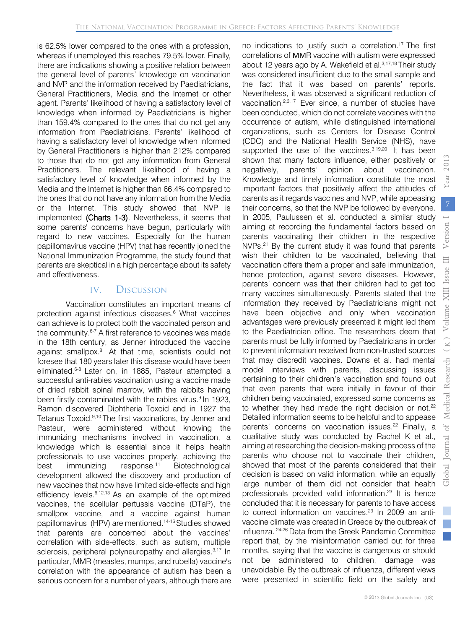is 62.5% lower compared to the ones with a profession, whereas if unemployed this reaches 79.5% lower. Finally, there are indications showing a positive relation between the general level of parents' knowledge on vaccination and NVP and the information received by Paediatricians, General Practitioners, Media and the Internet or other agent. Parents' likelihood of having a satisfactory level of knowledge when informed by Paediatricians is higher than 159.4% compared to the ones that do not get any information from Paediatricians. Parents' likelihood of having a satisfactory level of knowledge when informed by General Practitioners is higher than 212% compared to those that do not get any information from General Practitioners. The relevant likelihood of having a satisfactory level of knowledge when informed by the Media and the Internet is higher than 66.4% compared to the ones that do not have any information from the Media or the Internet. This study showed that NVP is implemented (Charts 1-3). Nevertheless, it seems that some parents' concerns have begun, particularly with regard to new vaccines. Especially for the human papillomavirus vaccine (HPV) that has recently joined the National Immunization Programme, the study found that parents are skeptical in a high percentage about its safety and effectiveness.

#### IV. **DISCUSSION**

Vaccination constitutes an important means of protection against infectious diseases.<sup>6</sup> What vaccines can achieve is to protect both the vaccinated person and the community.<sup>6-7</sup> A first reference to vaccines was made in the 18th century, as Jenner introduced the vaccine against smallpox.<sup>8</sup> At that time, scientists could not foresee that 180 years later this disease would have been eliminated.6-8 Later on, in 1885, Pasteur attempted a successful anti-rabies vaccination using a vaccine made of dried rabbit spinal marrow, with the rabbits having been firstly contaminated with the rabies virus.<sup>9</sup> In 1923, Ramon discovered Diphtheria Toxoid and in 1927 the Tetanus Toxoid.9,10 The first vaccinations, by Jenner and Pasteur, were administered without knowing the immunizing mechanisms involved in vaccination, a knowledge which is essential since it helps health professionals to use vaccines properly, achieving the best immunizing response.<sup>11</sup> Biotechnological development allowed the discovery and production of new vaccines that now have limited side-effects and high efficiency levels.6,12,13 As an example of the optimized vaccines, the acellular pertussis vaccine (DTaP), the smallpox vaccine, and a vaccine against human papillomavirus (HPV) are mentioned. 14-16 Studies showed that parents are concerned about the vaccines' correlation with side-effects, such as autism, multiple sclerosis, peripheral polyneuropathy and allergies.<sup>3,17</sup> In particular, MMR (measles, mumps, and rubella) vaccine's correlation with the appearance of autism has been a serious concern for a number of years, although there are

no indications to justify such a correlation.<sup>17</sup> The first correlations of ΜΜR vaccine with autism were expressed about 12 years ago by A. Wakefield et al.<sup>3,17,18</sup> Their study was considered insufficient due to the small sample and the fact that it was based on parents' reports. Nevertheless, it was observed a significant reduction of vaccination.<sup>2,3,17</sup> Ever since, a number of studies have been conducted, which do not correlate vaccines with the occurrence of autism, while distinguished international organizations, such as Centers for Disease Control (CDC) and the National Health Service (NHS), have supported the use of the vaccines.<sup>3,19,20</sup> It has been shown that many factors influence, either positively or negatively, parents' opinion about vaccination. Knowledge and timely information constitute the most important factors that positively affect the attitudes of parents as it regards vaccines and NVP, while appeasing their concerns, so that the NVP be followed by everyone. In 2005, Paulussen et al. conducted a similar study aiming at recording the fundamental factors based on parents vaccinating their children in the respective NVPs.<sup>21</sup> By the current study it was found that parents wish their children to be vaccinated, believing that vaccination offers them a proper and safe immunization, hence protection, against severe diseases. However, parents' concern was that their children had to get too many vaccines simultaneously. Parents stated that the information they received by Paediatricians might not have been objective and only when vaccination advantages were previously presented it might led them to the Paediatrician office. The researchers deem that parents must be fully informed by Paediatricians in order to prevent information received from non-trusted sources that may discredit vaccines. Downs et al. had mental model interviews with parents, discussing issues pertaining to their children's vaccination and found out that even parents that were initially in favour of their children being vaccinated, expressed some concerns as to whether they had made the right decision or not.<sup>22</sup> Detailed information seems to be helpful and to appease parents' concerns on vaccination issues. <sup>22</sup> Finally, a qualitative study was conducted by Rachel K et al., aiming at researching the decision-making process of the parents who choose not to vaccinate their children, showed that most of the parents considered that their decision is based on valid information, while an equally large number of them did not consider that health professionals provided valid information. <sup>23</sup> It is hence concluded that it is necessary for parents to have access to correct information on vaccines. <sup>23</sup> In 2009 an antivaccine climate was created in Greece by the outbreak of influenza. 24-26 Data from the Greek Pandemic Committee report that, by the misinformation carried out for three months, saying that the vaccine is dangerous or should not be administered to children, damage was unavoidable. By the outbreak of influenza, different views were presented in scientific field on the safety and

2013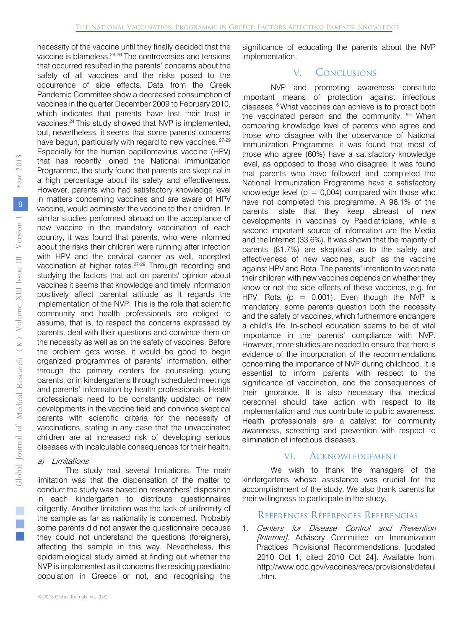vaccine is blameless.24-26 The controversies and tensions necessity of the vaccine until they finally decided that the that occurred resulted in the parents' concerns about the safety of all vaccines and the risks posed to the occurrence of side effects. Data from the Greek Pandemic Committee show a decreased consumption of vaccines in the quarter December 2009 to February 2010, which indicates that parents have lost their trust in vaccines.<sup>24</sup>This study showed that NVP is implemented, but, nevertheless, it seems that some parents' concerns have begun, particularly with regard to new vaccines. <sup>27-29</sup> Especially for the human papillomavirus vaccine (HPV) that has recently joined the National Immunization Programme, the study found that parents are skeptical in a high percentage about its safety and effectiveness. However, parents who had satisfactory knowledge level in matters concerning vaccines and are aware of HPV vaccine, would administer the vaccine to their children. In similar studies performed abroad on the acceptance of new vaccine in the mandatory vaccination of each country, it was found that parents, who were informed about the risks their children were running after infection with HPV and the cervical cancer as well, accepted vaccination at higher rates.27-29 Through recording and studying the factors that act on parents' opinion about vaccines it seems that knowledge and timely information positively affect parental attitude as it regards the implementation of the NVP. This is the role that scientific community and health professionals are obliged to assume, that is, to respect the concerns expressed by parents, deal with their questions and convince them on the necessity as well as on the safety of vaccines. Before the problem gets worse, it would be good to begin organized programmes of parents' information, either through the primary centers for counseling young parents, or in kindergartens through scheduled meetings and parents' information by health professionals. Health professionals need to be constantly updated on new developments in the vaccine field and convince skeptical parents with scientific criteria for the necessity of vaccinations, stating in any case that the unvaccinated children are at increased risk of developing serious diseases with incalculable consequences for their health.

## a) Limitations

The study had several limitations. The main limitation was that the dispensation of the matter to conduct the study was based on researchers' disposition in each kindergarten to distribute questionnaires diligently. Another limitation was the lack of uniformity of the sample as far as nationality is concerned. Probably affecting the sample in this way. Nevertheless, this some parents did not answer the questionnaire because they could not understand the questions (foreigners), epidemiological study aimed at finding out whether the NVP is implemented as it concerns the residing paediatric population in Greece or not, and recognising the

significance of educating the parents about the NVP implementation.

#### CONCLUSIONS  $V_{\cdot}$

NVP and promoting awareness constitute important means of protection against infectious diseases. <sup>6</sup>What vaccines can achieve is to protect both the vaccinated person and the community. <sup>6-7</sup> When comparing knowledge level of parents who agree and those who disagree with the observance of National Immunization Programme, it was found that most of those who agree (60%) have a satisfactory knowledge level, as opposed to those who disagree. It was found that parents who have followed and completed the National Immunization Programme have a satisfactory knowledge level ( $p = 0,004$ ) compared with those who have not completed this programme. A 96.1% of the parents' state that they keep abreast of new developments in vaccines by Paediatricians, while a second important source of information are the Media and the Internet (33.6%). It was shown that the majority of parents (81.7%) are skeptical as to the safety and effectiveness of new vaccines, such as the vaccine against HPV and Rota. The parents' intention to vaccinate their children with new vaccines depends on whether they know or not the side effects of these vaccines, e.g. for HPV, Rota ( $p = 0.001$ ). Even though the NVP is mandatory, some parents question both the necessity and the safety of vaccines, which furthermore endangers a child's life. In-school education seems to be of vital importance in the parents' compliance with NVP. However, more studies are needed to ensure that there is evidence of the incorporation of the recommendations concerning the importance of NVP during childhood. It is essential to inform parents with respect to the significance of vaccination, and the consequences of their ignorance. It is also necessary that medical personnel should take action with respect to its implementation and thus contribute to public awareness. Health professionals are a catalyst for community awareness, screening and prevention with respect to elimination of infectious diseases.

#### VI. ACKNOWLEDGEMENT

We wish to thank the managers of the kindergartens whose assistance was crucial for the accomplishment of the study. We also thank parents for their willingness to participate in the study.

## References Références Referencias

 1. Centers for Disease Control and Prevention Practices Provisional Recommendations. [updated *[Internet]*. Advisory Committee on Immunization http://www.cdc.gov/vaccines/recs/provisional/defaul 2010 Oct 1; cited 2010 Oct 24]. Available from: t.htm.

 $\mathbb{R}^n$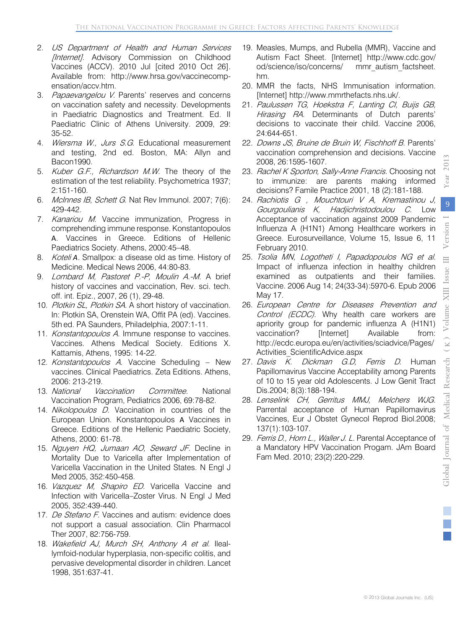- 2. US Department of Health and Human Services [Internet]. Advisory Commission on Childhood ensation/accv.htm. Vaccines (ACCV). 2010 Jul [cited 2010 Oct 26]. Available from: http://www.hrsa.gov/vaccinecomp-
- 3. Papaevangelou V. Parents' reserves and concerns on vaccination safety and necessity. Developments in Paediatric Diagnostics and Treatment. Ed. II Paediatric Clinic of Athens University. 2009, 29: 35-52.
- and testing, 2nd ed. Boston, MA: Allyn and 4. Wiersma W., Jurs S.G. Educational measurement Bacon1990.
- 5. Kuber G.F., Richardson M.W. The theory of the estimation of the test reliability. Psychometrica 1937; 2:151-160.
- 6. *McInnes IB, Schett G.* Nat Rev Immunol. 2007; 7(6): 429-442.
- comprehending immune response. Konstantopoulos 7. Kanariou M. Vaccine immunization, Progress in Α. Vaccines in Greece. Editions of Hellenic Paediatrics Society. Athens, 2000:45–48.
- 8. Koteli *Α*. Smallpox: a disease old as time. History of Medicine. Medical News 2006, 44:80-83.
- 9. *Lombard M, Pastoret P.-P, Moulin A.-M.* A brief history of vaccines and vaccination, Rev. sci. tech. off. int. Epiz., 2007, 26 (1), 29-48.
- 10. Plotkin SL, Plotkin SA. A short history of vaccination. In: Plotkin SA, Orenstein WA, Offit PA (ed). Vaccines. 5th ed. PA Saunders, Philadelphia, 2007:1-11.
- 11. Konstantopoulos A. Immune response to vaccines. Vaccines. Athens Medical Society. Editions X. Kattamis, Athens, 1995: 14-22.
- 12. Konstantopoulos A. Vaccine Scheduling New vaccines. Clinical Paediatrics. Zeta Editions. Athens, 2006: 213-219.
- 13. National Vaccination Committee. National Vaccination Program, Pediatrics 2006, 69:78-82.
- 14. Nikolopoulos D. Vaccination in countries of the European Union. Konstantopoulos Α Vaccines in Greece. Editions of the Hellenic Paediatric Society, Athens, 2000: 61-78.
- 15. Nguyen HQ, Jumaan AO, Seward JF. Decline in Mortality Due to Varicella after Implementation of Varicella Vaccination in the United States. N Engl J Med 2005, 352:450-458.
- 16. Vazquez M, Shapiro ED. Varicella Vaccine and Infection with Varicella–Zoster Virus. N E[ngl J Med](http://content.nejm.org/)  [2005](http://content.nejm.org/), 352:439-440.
- 17. De Stefano F. Vaccines and autism: evidence does not support a casual association. Clin Pharmacol Ther 2007, 82:756-759.
- 18. Wakefield AJ, Murch SH, Anthony A et al. Ileallymfoid-nodular hyperplasia, non-specific colitis, and pervasive developmental disorder in children. Lancet 1998, 351:637-41.
- 19. Measles, Mumps, and Rubella (MMR), Vaccine and Autism Fact Sheet. [Internet] http://www.cdc.gov/ od/science/iso/concerns/ mmr\_autism\_factsheet. hm.
- [Internet] http://www.mmrthefacts.nhs.uk/. 20. MMR the facts, NHS Immunisation information.
- decisions to vaccinate their child. Vaccine 2006, 21. Paulussen TG, [Hoekstra F, Lanting CI, Buijs GB,](http://www.cdc.gov/od/science/iso/concerns/mmr_autism_factsheet.htm)  [Hira](http://www.cdc.gov/od/science/iso/concerns/mmr_autism_factsheet.htm)sing RA. Determinants of Dutch parents' 24:644-6[51.](http://www.mmrthefacts.nhs.uk/)
- vaccination comprehension and decisions. Vaccine 22. Downs JS, Bruine de Bruin W, Fischhoff B. Parents' 2008, 26:1595-1607.
- to immunize: are parents making informed 23. Rachel K Sporton, Sally-Anne Francis. Choosing not decisions? Famile Practice 2001, 18 (2):181-188.
- Gourgoulianis K, Hadjichristodoulou C. Influenza A (H1N1) Among Healthcare workers in 24. Rachiotis G , Mouchtouri V A, Kremastinou J, Low Acceptance of vaccination against 2009 Pandemic Greece. Eurosurveillance, Volume 15, Issue 6, 11 February 2010.
- 25. Tsolia MN, Logotheti I, Papadopoulos NG et al. Impact of influenza infection in healthy children examined as outpatients and their families. Vaccine. 2006 Aug 14; 24(33-34):5970-6. Epub 2006 [May 17.](http://www.ncbi.nlm.nih.gov/pubmed?term=Tsolia%20MN%5BAuthor%5D&cauthor=true&cauthor_uid=16759761)
- vaccination? [Internet] Available from: 26. European Centre for Diseases Prevention and Control (ECDC). Why health care workers are [apriority](http://www.ncbi.nlm.nih.gov/pubmed/?term=Tsolia+MN%2C+Logotheti+I%2C+Papadopoulos+NG) group for pandemic influenza A (H1N1) http://ecdc.europa.eu/en/activities/sciadvice/Pages/ Activities\_ScientificAdvice.aspx
- 27. *Davis K. Dickman G.D, Ferris D.* Human Papillomavirus Vaccine Acceptability among Parents [of 10 to 15 year old Adolescents. J Low Genit Tract](http://ecdc.europa.eu/en/activities/sciadvice/Pages/Activities_ScientificAdvice.aspx)  Dis.2004; [8\(3\):188-194.](http://ecdc.europa.eu/en/activities/sciadvice/Pages/Activities_ScientificAdvice.aspx)
- 28. Lenselink CH, Gerritus MMJ, Melchers WJG. Parrental acceptance of Human Papillomavirus Vaccines, Eur J Obstet Gynecol Reprod Biol.2008; 137(1):103-107.
- 29. Ferris D., Horn L., Waller J. L. Parental Acceptance of a Mandatory HPV Vaccination Progam. JAm Board Fam Med. 2010; 23(2):220-229.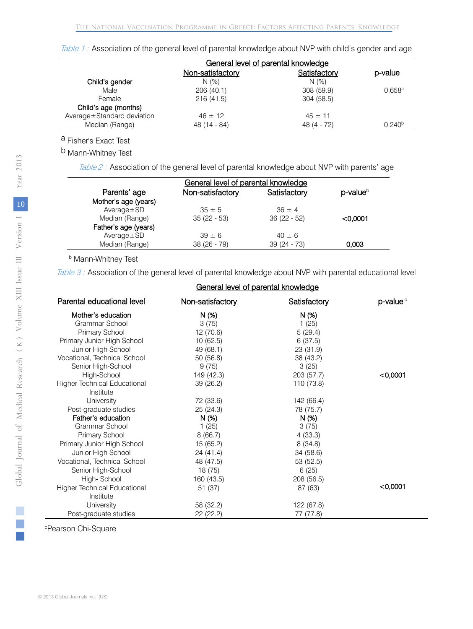| Table 1: Association of the general level of parental knowledge about NVP with child's gender and age |  |  |
|-------------------------------------------------------------------------------------------------------|--|--|
|                                                                                                       |  |  |

|                              | General level of parental knowledge |              |                    |
|------------------------------|-------------------------------------|--------------|--------------------|
|                              | Non-satisfactory                    | Satisfactory | p-value            |
| Child's gender               | N(% )                               | N(% )        |                    |
| Male                         | 206(40.1)                           | 308 (59.9)   | 0.658a             |
| Female                       | 216(41.5)                           | 304 (58.5)   |                    |
| Child's age (months)         |                                     |              |                    |
| Average ± Standard deviation | $46 \pm 12$                         | $45 \pm 11$  |                    |
| Median (Range)               | 48 (14 - 84)                        | $48(4 - 72)$ | 0.240 <sup>b</sup> |

a Fisher's Exact Test

b Mann-Whitney Test

Table 2: Association of the general level of parental knowledge about NVP with parents' age

| General level of parental knowledge |                  |               |                      |  |  |
|-------------------------------------|------------------|---------------|----------------------|--|--|
| Parents' age                        | Non-satisfactory | Satisfactory  | p-value <sup>b</sup> |  |  |
| Mother's age (years)                |                  |               |                      |  |  |
| $Average \pm SD$                    | $35 \pm 5$       | $36 + 4$      |                      |  |  |
| Median (Range)                      | $35(22 - 53)$    | $36(22 - 52)$ | < 0.0001             |  |  |
| Father's age (years)                |                  |               |                      |  |  |
| $Average \pm SD$                    | $39 + 6$         | $40 + 6$      |                      |  |  |
| Median (Range)                      | $38(26 - 79)$    | $39(24 - 73)$ | 0,003                |  |  |

**b Mann-Whitney Test** 

Table 3 : Association of the general level of parental knowledge about NVP with parental educational level

|                                     | General level of parental knowledge |                     |                      |
|-------------------------------------|-------------------------------------|---------------------|----------------------|
| Parental educational level          | Non-satisfactory                    | <b>Satisfactory</b> | p-value <sup>c</sup> |
| Mother's education                  | N (%)                               | N (%)               |                      |
| Grammar School                      | 3(75)                               | 1(25)               |                      |
| Primary School                      | 12 (70.6)                           | 5(29.4)             |                      |
| Primary Junior High School          | 10 (62.5)                           | 6(37.5)             |                      |
| Junior High School                  | 49 (68.1)                           | 23 (31.9)           |                      |
| Vocational, Technical School        | 50 (56.8)                           | 38 (43.2)           |                      |
| Senior High-School                  | 9(75)                               | 3(25)               |                      |
| High-School                         | 149 (42.3)                          | 203 (57.7)          | $<$ 0,0001           |
| <b>Higher Technical Educational</b> | 39(26.2)                            | 110 (73.8)          |                      |
| Institute                           |                                     |                     |                      |
| University                          | 72 (33.6)                           | 142 (66.4)          |                      |
| Post-graduate studies               | 25 (24.3)                           | 78 (75.7)           |                      |
| Father's education                  | N (%)                               | N (%)               |                      |
| Grammar School                      | 1(25)                               | 3(75)               |                      |
| Primary School                      | 8(66.7)                             | 4(33.3)             |                      |
| Primary Junior High School          | 15 (65.2)                           | 8(34.8)             |                      |
| Junior High School                  | 24 (41.4)                           | 34(58.6)            |                      |
| Vocational, Technical School        | 48 (47.5)                           | 53 (52.5)           |                      |
| Senior High-School                  | 18 (75)                             | 6(25)               |                      |
| High-School                         | 160 (43.5)                          | 208 (56.5)          |                      |
| Higher Technical Educational        | 51 (37)                             | 87 (63)             | $<$ 0,0001           |
| Institute                           |                                     |                     |                      |
| University                          | 58 (32.2)                           | 122 (67.8)          |                      |
| Post-graduate studies               | 22 (22.2)                           | 77 (77.8)           |                      |

<sup>c</sup>Pearson Chi-Square

 $\mathbb{R}^n$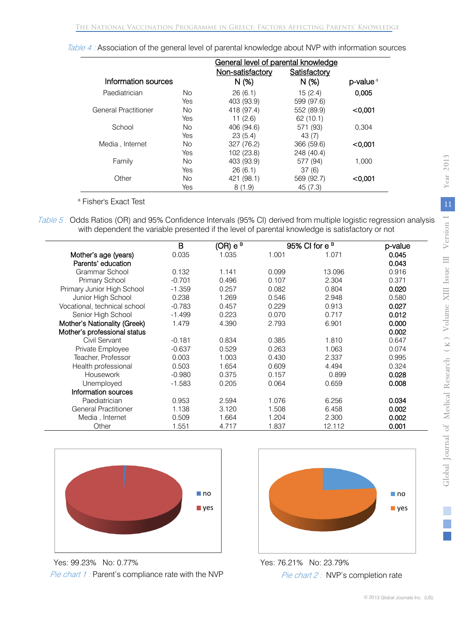|                             |           | General level of parental knowledge |              |                      |
|-----------------------------|-----------|-------------------------------------|--------------|----------------------|
|                             |           | Non-satisfactory                    | Satisfactory |                      |
| Information sources         |           | N(%)                                | N(%)         | p-value <sup>a</sup> |
| Paediatrician               | No.       | 26(6.1)                             | 15(2.4)      | 0,005                |
|                             | Yes       | 403 (93.9)                          | 599 (97.6)   |                      |
| <b>General Practitioner</b> | <b>No</b> | 418 (97.4)                          | 552 (89.9)   | < 0.001              |
|                             | Yes       | 11(2.6)                             | 62(10.1)     |                      |
| School                      | <b>No</b> | 406 (94.6)                          | 571 (93)     | 0.304                |
|                             | Yes       | 23(5.4)                             | 43(7)        |                      |
| Media, Internet             | <b>No</b> | 327 (76.2)                          | 366 (59.6)   | < 0.001              |
|                             | Yes       | 102 (23.8)                          | 248 (40.4)   |                      |
| Family                      | <b>No</b> | 403 (93.9)                          | 577 (94)     | 1.000                |
|                             | Yes       | 26(6.1)                             | 37(6)        |                      |
| Other                       | No.       | 421 (98.1)                          | 569 (92.7)   | < 0.001              |
|                             | Yes       | 8(1.9)                              | 45 (7.3)     |                      |

<sup>a</sup> Fisher's Exact Test

 $\ddot{\phantom{a}}$ 

 Table 5 : Odds Ratios (OR) and 95% Confidence Intervals (95% CI) derived from multiple logistic regression analysis with dependent the variable presented if the level of parental knowledge is satisfactory or not

|                              | B        | $(OR)$ e <sup>B</sup> |       | 95% CI for e <sup>B</sup> |                  |
|------------------------------|----------|-----------------------|-------|---------------------------|------------------|
| Mother's age (years)         | 0.035    | 1.035                 | 1.001 | 1.071                     | p-value<br>0.045 |
| Parents' education           |          |                       |       |                           | 0.043            |
| Grammar School               | 0.132    | 1.141                 | 0.099 | 13.096                    | 0.916            |
| Primary School               | $-0.701$ | 0.496                 | 0.107 | 2.304                     | 0.371            |
| Primary Junior High School   | $-1.359$ | 0.257                 | 0.082 | 0.804                     | 0.020            |
| Junior High School           | 0.238    | 1.269                 | 0.546 | 2.948                     | 0.580            |
| Vocational, technical school | $-0.783$ | 0.457                 | 0.229 | 0.913                     | 0.027            |
| Senior High School           | $-1.499$ | 0.223                 | 0.070 | 0.717                     | 0.012            |
| Mother's Nationality (Greek) | 1.479    | 4.390                 | 2.793 | 6.901                     | 0.000            |
| Mother's professional status |          |                       |       |                           | 0.002            |
| Civil Servant                | $-0.181$ | 0.834                 | 0.385 | 1.810                     | 0.647            |
| Private Employee             | $-0.637$ | 0.529                 | 0.263 | 1.063                     | 0.074            |
| Teacher, Professor           | 0.003    | 1.003                 | 0.430 | 2.337                     | 0.995            |
| Health professional          | 0.503    | 1.654                 | 0.609 | 4.494                     | 0.324            |
| Housework                    | $-0.980$ | 0.375                 | 0.157 | 0.899                     | 0.028            |
| Unemployed                   | $-1.583$ | 0.205                 | 0.064 | 0.659                     | 0.008            |
| Information sources          |          |                       |       |                           |                  |
| Paediatrician                | 0.953    | 2.594                 | 1.076 | 6.256                     | 0.034            |
| <b>General Practitioner</b>  | 1.138    | 3.120                 | 1.508 | 6.458                     | 0.002            |
| Media, Internet              | 0.509    | 1.664                 | 1.204 | 2.300                     | 0.002            |
| Other                        | 1.551    | 4.717                 | 1.837 | 12.112                    | 0.001            |



Yes: 99.23% No: 0.77% Pie chart 1 : Parent's compliance rate with the NVP